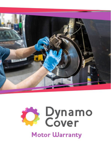

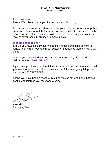# **Introduction**

Firstly; We'd like to thank **you** for purchasing this policy,

In this pack are some important details of your cover along with your policy certificate. It's important that **you** print off your certificate, and keep it in the insured vehicle at all times as it holds all the details about your policy and level of cover, should you need to make a claim.

# **Who do I need to call?**

Should **you** have a policy query, need to change something or want to renew, then **you**'ll need to call our customer assistance team on: **0330 22 32 897**

Should **you** have need to make a claim on **your** policy please call our claims team on: **0161 451 4803.**

If you have purchased our breakdown insurance as an addition and should **you** need to be rescued, then please call our 24hr emergency telephone number on: **01206 785 985**

I hope **you** have been pleased with our service so far, and hope that we'll continue to impress **you** for years to come…

Alex Mills Managing Director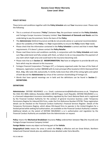### **POLICY DETAILS**

These terms and conditions together with the **Policy Schedule** sets out **Your** insurance cover. Please note the following:

- This is a contract of insurance ("**Policy**") between **You**, the purchaser named on the **Policy Schedule**, and Fortegra Europe Insurance Company Limited. **Your Statement of Demands and Needs** and the undertaking to pay the premium, forms the basis of the **Policy**.
- **EXTE:** The **Administrator** (Defend Insurance) and Us do not provide advice or a personal recommendation about the suitability of this **Policy**. It is **Your** responsibility to ensure the **Policy** meets **Your** needs.
- Please check that the information contained in the **Policy Schedule** is correct and that it meets **Your** requirements. If it doesn't, please contact the **Policy Retailer**.
- Please read these terms and conditions carefully, in conjunction with the **Policy Schedule** and make sure **You** understand and fully comply with them, as failure to do so may jeopardise the payment of any claim which might arise and could lead to the insurance becoming void.
- Please note that as in **Section 12 MISINFORMATION**, **You** have an obligation to provide **Us** with any facts which may be relevant to this insurance.
- Fortegra Financial Corporation ("Fortegra US"), a Company organised under the laws of the State of Delaware, registration number 4885848 with its main principal office located at 10151 Deerwood Park Blvd., Bldg. 100, Suite 330, Jacksonville, FL 32256, holds more than 10% of the voting rights and capital of both **Us** and the **Administrator** by virtue of the common shareholding of Fortegra US.
- Words that have special meanings are in bold and the definitions can be found in **Section 2 DEFINITIONS**.

#### **DEFINITIONS**

**Administrator:** DEFEND INSURANCE s.r.o. Email; customerservice@defendinsurance.co.uk, Telephone No: 0161 451 4804; Address; Roztylska 1860/1 148 00 Prague, Czech Republic. DEFEND INSURANCE s.r.o. is a licensed independent insurance intermediary regulated by the Czech National Bank and is registered by the Financial Conduct Authority for the conduct of general insurance business under Temporary Permissions Regime for inbound EEA Firms, under the Firm Reference Number 679738. These registration details can be checked on the Financial Conduct Authority's Financial Services Register. Details of the Temporary Permissions Regime, which allows EEA-based **Elms to operate in the United Kingdom** for a limited period while seeking full authorisation, are available on the Financial Conduct Authority's website. Additional details on the extent of DEFEND INSURANCE s.r.o.'s authorisation and regulation by the Financial Conduct Authority are available from the Administrator on request.

**Policy** means the **Mechanical Breakdown** Insurance **Policy** underwritten between **You** (the Insured) and Fortegra Europe Insurance Company Limited

**Foreign Matter** means any object not forming part of the **Vehicle**.

**Geographical Limits** means the areas in which the **Policy** is effective and are Great Britain, Northern Ireland and Channel Islands plus any additional area detailed under Extra Benefits.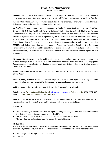**Indemnity Limit** means the amount shown in the Proposal / **Policy** Schedule subject to the lower limits as stated in these terms and conditions, inclusive of VAT up to the purchase price of the **Vehicle**

**Insured / You / Your** Any individual who is detailed on the **Policy** Schedule and who has applied for this **Policy** and has agreed to pay the premium under this **Policy**.

**We/Us/Our:** Fortegra Europe Insurance Company Ltd (Malta Company Registration Number C 84703), Office 13, SOHO Office The Strand, Fawwara Building, Triq I-Imsida, Gzira, GZR 1401, Malta. Fortegra Europe Insurance Company Ltd is authorized under the Insurance Business Act 1998 of the laws of Malta to carry out general business, and is regulated by the Malta Financial Services Authority, Triq l-Imdina, Zone 1, Central Business District, Birkirkara, CBD 1010, Malta. Deemed authorised by the Prudential Regulation Authority. Subject to regulation by the Financial Conduct Authority under reference number 805770, and limited regulation by the Prudential Regulation Authority. Details of the Temporary Permission Regime, which allows EEA-based firms to operate in the UK for a limited period while seeking full authorisation, are available on the Financial Conduct Authority's website. Annual reports on our solvency and .

**Mechanical Breakdown** means the sudden failure of a mechanical or electrical component, causing a sudden stoppage of its function, for a reason other than wear and tear, deterioration or negligence. Damage caused by the effect of overheating or abuse is not regarded as a Mechanical Breakdown under the terms of the **Policy**.

**Period of Insurance** means the period as shown on the schedule, from the start date to the end date of the **Policy**.

**Proposal/Policy Schedule** means any signed proposal and declaration together with any additional information **You** may have supplied to Us in support of **Your** application for insurance.

**Vehicle** means the **Vehicle** as specified on the **Proposal**/**Policy Schedule**.

**Retailer** means Dynamo Cover Limited. Email; [sales@dynamocover.com](mailto:sales@dynamocover.com) , Telephone No: 0330 22 32 897; Address; Cardiff House, Cardiff Rd, Barry, CF63 2AW .

**Wear and Tear** means the expected gradual reduction or deterioration in operating performance and/or function of any part(s) due to the age and/or mileage and/or usage of the **Vehicle**.

## **ELIGIBILITY**

- **You** are applying as an individual, **You** are eighteen (18) years of age or over and **You** are resident in the United Kingdom, Channel Islands or the Isle of Man
- The **Vehicle** is under 10 years of age and has covered less than 100,000 miles
- The **Vehicle** must be taxed and legal for use on the public highway

### **POLICY TERM**

The length of cover **You** have chosen is stated on **Your Certificate of Insurance** and will be a maximum of thirty-six (36) months . **Your** cover will end at the earliest of any of the below and is not renewable:

▪ **You** failing to pay **Your** premium when due; or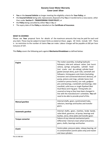- **You** or the **Insured Vehicle** no longer meeting the eligibility criteria for **Your Policy**; or
- the **Insured Vehicle** being sold, repossessed, disposed of by **You** or transferred to a new owner, other than under **Section 9 - TRANSFERRING YOUR POLICY**; or
- the **Policy** being cancelled by either **You** or **Us;** or
- The expiry date of the **Policy** as detailed on the **Certificate of Insurance**.

## **WHAT IS COVERED**

Please see **Your** proposal form for details of the maximum amounts that may be paid for each and any claim. These may be subject to lower limits as stated on these pages. All limits include VAT. There is no restriction to the number of claims **You** can make. Labour charges will be payable at £60 per hour inclusive of VAT.

This **Policy** covers the following parts against **Mechanical Breakdown** as defined below:

| <b>Engine</b>            | The rocker assembly, including hydraulic<br>followers, inlet and exhaust valves [not burnt<br>valves], springs and guides, cylinder head<br>[not cracks and de-coking], cylinder head<br>gasket [except skim], push rods, camshaft and<br>followers, timing gears and chains [excluding<br>tensioner and connected electronic devices], oil<br>pump, pistons and rings, cylinder bores [not<br>cracked or porous bores], con rods, gudgeon<br>pins and bearings, crankshaft and bearings, inlet<br>manifold, solid mass or single flywheel (Not<br>Dual Mass) and ring gear. Timing belts are<br>covered as long as they have been changed in<br>line with the manufacturer's schedules. You will<br>need to be able to provide proof of this. |
|--------------------------|------------------------------------------------------------------------------------------------------------------------------------------------------------------------------------------------------------------------------------------------------------------------------------------------------------------------------------------------------------------------------------------------------------------------------------------------------------------------------------------------------------------------------------------------------------------------------------------------------------------------------------------------------------------------------------------------------------------------------------------------|
| <b>Manual gearbox</b>    | Internal shafts, gears, synchromesh hubs,<br>selectors, bearings and bushes and transfer<br>gears.                                                                                                                                                                                                                                                                                                                                                                                                                                                                                                                                                                                                                                             |
| <b>Automatic gearbox</b> | Internal shafts, gears, clutches, brake bands,<br>valve block, governor, oil pump, bearings and<br>bushes, servo, drive plate and transfer gears                                                                                                                                                                                                                                                                                                                                                                                                                                                                                                                                                                                               |
| <b>Torque converter</b>  | Failure of any internal mechanical parts.<br>Differential Internal crown wheel and pinion,<br>gears, shafts, bearings and bushes                                                                                                                                                                                                                                                                                                                                                                                                                                                                                                                                                                                                               |
| Clutch                   | Centre plate, pressure plate, release bearing, oil<br>m contamination [centre plate only] and master<br>and slave cylinders                                                                                                                                                                                                                                                                                                                                                                                                                                                                                                                                                                                                                    |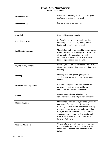| <b>Front wheel drive</b>     | Drive shafts, including constant velocity joints,                                                                                                                                                                                                                                                                                                               |
|------------------------------|-----------------------------------------------------------------------------------------------------------------------------------------------------------------------------------------------------------------------------------------------------------------------------------------------------------------------------------------------------------------|
|                              | joints and couplings [not gaiters].                                                                                                                                                                                                                                                                                                                             |
| <b>Wheel bearings</b>        | Front and rear wheel bearings                                                                                                                                                                                                                                                                                                                                   |
| Propshaft                    | Universal joints and couplings.                                                                                                                                                                                                                                                                                                                                 |
| <b>Rear Wheel Drive</b>      | Half shafts, rear wheel external drive shafts,<br>including constant velocity joints, universal<br>joints and couplings [not gaiters].                                                                                                                                                                                                                          |
| <b>Fuel injection system</b> | Throttle body, airflow meter, idle control valve,<br>cold start valve, warm up regulator, overrun cut<br>off valve, throttle potentiometer, fuel<br>accumulator, pressure regulator, map sensor<br>[except injectors and heater plugs].                                                                                                                         |
| <b>Engine cooling system</b> | Radiator, oil cooler, heater matrix, water pump,<br>viscous fan coupling, thermostat and thermostat<br>housing.                                                                                                                                                                                                                                                 |
| <b>Steering</b>              | Steering rack and pinion [not gaiters],<br>steering box, power steering rack and pump,<br>idler box.                                                                                                                                                                                                                                                            |
| Front and rear suspension    | Hydrolastic displacers and hydropneumatic<br>spheres, coil springs, upper and lower<br>wishbones and ball and swivel joints.                                                                                                                                                                                                                                    |
| <b>Brakes</b>                | Brake master cylinder, wheel cylinders,<br>restrictor valve, brake caliper seals and servo                                                                                                                                                                                                                                                                      |
| <b>Electrical system</b>     | Starter motor and solenoid, alternator, window<br>and sun roof motors, electric window<br>switches, sunroof switch, centralised locking<br>motors, heater fan motor, indicator flasher<br>relay, distributor, front and rear windscreen<br>wiper and washer motors, thermostatically<br>controlled radiator fan motor, horn and multi<br>function stalk switch. |
| <b>Working Materials</b>     | Oils, oil filter and anti freeze are covered only if<br>it is essential to replace them because of the<br>failure of a part which is covered under this<br>Policy.                                                                                                                                                                                              |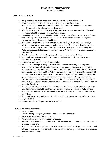#### **WHAT IS NOT COVERED**

- **1.** Any part that is not listed under the "What is Covered" section of this **Policy**
- **2.** Any pre-existing faults to the vehicle prior to the policy purchase date.
- **3. We** will not accept liability for any claim which is reported to the **Administrator** more than 14 days after the relevant fault is discovered.
- **4. We** will not accept for any claim where the repair has not commenced within 14 days of the relevant fault being reported to the **Administrator**.
- **5.** The **Policy** does not apply to: **Vehicle**s used for hire or reward (for example Taxis, self drive hire or driving schools), **Vehicle**s used for any kind of timed competition or race; or non standard customized or modified **Vehicle**s.
- **6. We** will not accept any liability for damage caused by: Neglect, corrosion, any **Foreign Matter**, getting into or onto a part; lack of servicing, the effects of over- heating, whether caused by an insured part or not; freezing, abuse, damage to parts not covered by this **Policy** or consequential damage; or damage to parts **We** cover caused by parts not covered by the **Policy**.
- **7.** Any claim within the first 30 (thirty) days of commencement of the **Policy**.
- **8.** Wear and Tear, unless the additional premium has been paid and is detailed in your **Schedule of Insurance.**
- **9.** Any Excess that has been applied to this **Policy.**
- **10.** Breakdown or damage to part(s) (whether insured or not) caused by or arising from overheating, corrosion, frost, water, freezing liquids, abuse, oxidisation, not having the **Vehicle** serviced in line with the conditions of this **Policy**, not maintaining the **Vehicle** as set out in the Servicing section of this **Policy**, blockages, build up of contaminants, sludge or silt, or other foreign or waste matter that has prevented the part(s) from working properly, the gradual reduction in operating performance commensurate with the age and mileage covered by the **Vehicle** including but not limited to the gradual loss of engine compression necessitating the repair of valves or rings, gradual increase in oil consumption due to normal operating functions.
- **11.** Repairing or replacing part(s)s which the **Administrator** believes were faulty or could have been identified by a suitably qualified engineer as being faulty before this **Policy** started.
- **12.** Breakdown or damage caused by the use of the incorrect fuel, oil, lubricant, coolant or any other fluid.
- **13.** Wear and Tear for any vehicle over five (5) years of age at the time of the policy start date.
- **14.** Diagnosis costs.
- **15.** Labour costs above £60 per hour inclusive of VAT.

**We** will not accept liability for:

- Deterioration.
- The effects of poor repairs, faults or defects at the time of the sale.
- Parts which have been fitted incorrectly.
- Parts which are of faulty manufacture or design.
- Parts not fitted as standard or optional extra by the manufacturer, unless cover for such items is agreed beforehand.
- Good engineering practice (any parts which have not failed but have been reported and advised or recommended to be replaced during routine servicing and/or repair or at the time a repair is in progress).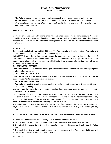The **Policy** excludes any damage caused by fire, accident or any road hazard whether or not insured under any motor insurance or accidental damage **Policy**. It does not provide cover for other people or physical injury. **We** will not accept liability for damage caused by war risks, sonic booms or nuclear radiation.

## **HOW TO MAKE A CLAIM**

Claims are processed entirely by phone, ensuring a fast, effective and simple claim procedure. Wherever possible, to avoid **You** being out of pocket, the **Administrator** will settle authorised claims directly with the repairer. Please ensure **You** follow the claims procedure, if **You** do not, the **Administrator** may not pay **Your** claim.

## **1. NOTIFY US**

Telephone the **Administrator on** 0161 451 4803. The **Administrator** will make a note of **Your** claim and advise **You** of the location of **Your** nearest approved repairer.

**IMPORTANT**: In order for the **Administrator** to pay the approved repairer directly, **You** (not the repairer) must notify the **Administrator** of **Your** claim. This must be done before **You** give permission to a repairer to carry out any fault finding or remedial work. Notification from a repairer of a possible claim will not be accepted by the **Administrator**.

## **2. CONTACT THE REPAIRER**

Book **Your Vehicle** in with the repairer and give **Your** permission to carry out any fault finding/diagnosis or dismantling necessary.

### **3. REPAIRER OBTAINS AUTHORITY**

Once **Your Vehicle, Policy** schedule and service records have been handed to the repairerthey will contact the **Administrator** to request approval for repairs.

### **4. AUTHORITY FOR CLAIM VALUE**

If **Your** claim is accepted, an authorisation number will be issued to the repairer for the amount that will be paid under this **Policy**.

**You** are responsible for paying any amount the repairer charges over and above the authorised amount.

### **5. PAYMENT OF THE CLAIM**

On completion of the repairs, the repairer must submit an invoice directly to the **Administrator**. The invoice must clearly show the authorisation number given, details of who the **Administrator** should pay and contain full details of the repairs, including details of all PART(s) used, labour and VAT. The **Administrator** may also need to see **Your** original service invoices.

The authorisation number will only be effective for ninety (90) days from the date it was issued and no payments will be made in respect of the authorisation number after the expiry of the ninety (90) day period.

### **TO ALLOW YOUR CLAIM TO BE DEALT WITH EFFICIENTLY PLEASE OBSERVE THE FOLLOWING POINTS.**

**1**. Check **Your Policy** type covers the parts(s) which have caused the breakdown.

**2**. Call the **Administrator** at the first opportunity if **You** believe **You** may need to make a claim.

**3**. Do not ask the repairer to notify the **Administrator** of a claim, this must be done by **You** the **Policy** holder.

**4**. If a repair is started without an authorisation number the costs will be **Your** responsibility and will automatically invalidate any claim under this **Policy**.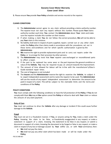**5**. Please ensure **You** provide **Your Policy** schedule and service records to the repairer.

### **CLAIMS CONDITIONS**

- 1) The **Administrator** cannot agree to any claim without providing a claims authority number. The repairer must not start any repairs without this number. Please quote **Your** claims authority number each time **You** contact the **Administrator** about **Your** claim and make sure the repairer includes this number on their invoice.
- 2) If when making a claim **You** do not follow the correct procedure, **We** will not be able to pay **Your** claim in this instance.
- 3) No liability shall exist in respect of parts supplied, repairs carried out or any other claim under the **Policy** other than claims made in accordance with the procedures set out in these terms and conditions and for which specific authorisation is given by the **Administrator**.
- 4) **We** reserve the right to provide replacement parts and to carry out repairs under the **Policy** or to arrange for their provision by other persons.
- 5) The **Administrator** may insist that **Your** repairer uses exchanged or reconditioned parts to affect a repair.
- 6) If the part to be replaced has some wear or the part improves the general condition or value of the **Vehicle**, **You** may be required to pay an amount towards the improvement.
- 7) The amount of time allowed for labour will be in line with the manufacturer's/Glass's Guide standard repair times.
- 8) The cost of diagnosis is not included
- 9) The **Insurer** and the **Administrator** reserve the right to examine the **Vehicle**, to subject it to expert independent assessment and to name the repairer to be used. The **Administrator** will use the results of any expert independent assessment to determine the amount to be paid in respect of a claim. This will be subject to the claimable limits and the terms and conditions of the **Policy**.

### **POLICY CONDITIONS**

**You** must comply with the following conditions to have the full protection of the **Policy**. If **You** do not comply with them **We** may at **Our** option cancel the **Policy** or refuse to deal with **Your** claim or reduce the amount of any claim payment.

### **Duty of Care**

**You** must not continue to drive the **Vehicle** after any damage or incident if this could cause further damage to the **Vehicle**.

### **Fraud**

**You** must not act in a fraudulent manner. If **You**, or anyone acting for **You**, make a claim under the **Policy** knowing the claim to be false, or fraudulently exaggerated in any respect; or make a statement in support of a claim, knowing the statement to be false in any respect; or submit a document in support of a claim, knowing the document to be forged or false in any respect; or make a claim in respect of any loss or damage caused by **Your** willful act, or with **Your** connivance, then:

- **We** shall not pay the claim;
- **We** shall not pay any other claim which has been made or will be made under the **Policy**;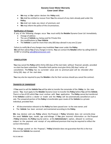- **We** may at **Our** option declare the **Policy** void;
- **We** shall be entitled to recover from **You** the amount of any claim already paid under the **Policy**;
- **We** shall not make any return of premium; and
- **We** may inform the police of the circumstances.

#### **Notification of Changes**

If any of the following changes occur **You** must notify the **Retailer** Dynamo Cover Ltd immediately.

- Change of address
- The use of **Vehicle** e.g. being used for Private Hire
- Any modifications to **Your Vehicle**
- The **Vehicle** is used for more than sixty (60) days abroad in any one (1) year

Failure to notify **Us** of any changes may invalidate **Your** cover under the **Policy**. **We** will then advise **You** of any changes in terms. **You** can contact the **Retailer** either by calling 0330 22 32 897 or emailing [sales@dynamocover.com](mailto:sales@dynamocover.com)

#### **CANCELLATION**

**You** may cancel the **Policy** within thirty (30) days of the start date without financial penalty provided no claim has been submitted. Thereafter both parties must give thirty (30) days' notice of cancellation. The **Policy** has no surrender value and no premium paid will be refunded after thirty (30) days of the start date.

**You** may also be required to pay the **Retailer** a fee for their services should you cancel the contract.

#### **TRANSFER OF OWNERSHIP**

If **You** want to sell the **Vehicle You** will be able to transfer the remainder of the **Policy** to the new owner. **You** must apply to the **Retailer** Dynamo Cover to transfer the **Policy** before **You** sell the **Vehicle**. There is a fee of £25 which **You** must enclose with **Your** application. The **Policy** cannot be transferred if the **Vehicle** is sold to a dealer or trader and the **Policy** will be automatically cancelled on such a sale. The unexpired portion of the **Policy** is transferable upon resale of the **Vehicle** to a private individual, provided that:

- All documentation relevant to the **Policy** has been passed over to the new owner; and
- The **Vehicle** has been serviced and maintained according to the **Policy**.

**We** may declare void any **Policy** where the Proposal / **Policy** Schedule does not correctly show the exact **Vehicle** type, model, age and mileage. If **You** give incorrect information on the Proposal / **Policy** Schedule, the **Policy** may be void or, at the **Administrator**'s option, allowed to continue subject to the payment and receipt of any additional premium that may be required to reflect the correct information.

The mileage quoted on the Proposal / **Policy** Schedule does not guarantee that this is the true distance the **Vehicle** has covered.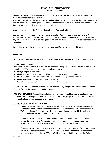**We** will not pay more than the limits shown on the Proposal / **Policy** Schedule or as otherwise restricted in these terms and conditions.

The **Policy** will only be valid if the Proposal / **Policy** Schedule has been received by the **Administrator** and the premium has been paid and received in accordance with these terms and conditions. The **Administrator** has the right to refuse an application for cover.

**Your** rights as set out in the **Policy** are in addition to **Your** legal rights.

**You** cannot change these terms and conditions unless **You** have **Our** written agreement. **We** may appoint any person to handle claims, including payment thereof. **We** reserve the right to change at any time any of the parties providing administration or claims handling or related services under the **Policy**.

At the time of cover the **Vehicle** must be taxed and legal for use on the public highway

## **SERVICING**

**You** are required to ensure and maintain the servicing of **Your Vehicle** by a VAT-registered garage.

### **SERVICE REQUIREMENT:**

The **Vehicle** must be serviced in line with the manufacturers guidelines or at intervals of twelve (12) months / 12000 miles whichever is sooner and must consist of:

- Change engine oil and filter.
- Check oil levels in the gearbox and differential and top up where necessary.
- Check coolant level and anti-freeze/inhibitor strength. Top up where necessary.
- Check timing belt [if fitted] and renew if necessary.
- Brake fluid must be replaced in accordance with the manufacturer's recommendation.

**SERVICE TIMING:** The **Vehicle** must be serviced within twenty-one (21) days or 500 miles (whichever is sooner) of the due timing of the **Vehicle** service.

**PROOF OF SERVICING**: Acceptable proof of servicing is either the **Vehicle** service handbook which has been correctly stamped and completed by a VAT registered garage or fully detailed VAT service invoice(s) indicating servicing dates and mileages.

### **SERVICE HISTORY AT POLICY START DATE**

- 1. Where the service schedule has been carried out by a VAT registered garage and has been correctly stamped and completed in the service handbook of the **Vehicle** or fully detailed VAT service invoice(s) indicating servicing dates and mileages are provided, continue to follow the SERVICE REQUIREMENT of this **Policy**.
- 2. If the **Vehicle** has a partial service history but a service has been carried out in the last twelve (12) months by a VAT registered garage following the manufacturers service requirements continue to follow the SERVICE REQUIRMENT of this **Policy.**
- 3. If the **Vehicle** has incomplete or no previous service history at inception of this **Policy** then a service in accordance with the SERVICE REQUIREMENT of this **Policy** must be carried our within twenty-one (21) days or 500 miles (whichever sooner) of inception of the **Policy**.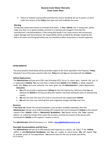4. Failure to maintain and provide proof that the service standards set out in points 1,2 and 3 under this section of this **Policy** have been met will invalidate the cover**.**

### **Warning**

Timing belts [otherwise known as camshaft drive belts]. If **Your Vehicle** has a timing belt, please make sure that it is in good condition and that it is checked and changed in line with the manufacturer's recommendations. If the timing belt breaks it can cause serious and unnecessary engine damage and inconvenience. No responsibility will be accepted for damage caused by the failure of a worn out timing belt which was not checked at either at purchase or annual inspection.

#### **EXTRA BENEFITS**

The extra benefits listed below will be provided subject to the limits specified in the Proposal / **Policy** Schedule if any of the parts covered under the **Policy** fail and **You** are stranded with the **Vehicle**.

### **Vehicle Replacement**

The **Administrator** will pay up to £30 a day [including VAT], for up to seven days, towards the cost of a replacement **Vehicle**. **You** can only have a replacement **Vehicle** if the **Vehicle** is being repaired under the **Policy** and prior authority has been given by the **Administrator**'s claims department.

#### **Exclusions**

- **We** will not provide a replacement **Vehicle** for the first twenty-four (24) hours that **You** are without the **Vehicle** or during any delay the repairer may have waiting for parts or commencing repairs.
- **We** will not cover the costs of or fuel or insurance for the replacement **Vehicle**.
- **We** will not cover any motoring fines and congestion charges that **You** may incur.

#### **Recovery**

If **You have not** chosen the annual breakdown cover product available separately, then the **Administrator** will pay up to £100 [including VAT] towards the cost of towing the **Vehicle** to the nearest repairer if the **Vehicle** suffers a **Mechanical Breakdown**. **You** should ensure that **Your** repairer obtains an authority number that covers the recovery, and that the invoice of the person who recovered the **Vehicle** or the repairer's invoice is sent to:

The **Administrator** Defend Insurance s.r.oEMAIL**: claims[@defendi](mailto:sales@dynamocover.com)nsurance.co.uk** 

#### **Overnight Accommodation and Rail Fares**

FEIC DC MBI 0921 The **Administrator** will pay up to £60 towards hotel expenses or a return rail ticket if the **Vehicle** suffers a valid **Mechanical Breakdown** and **You** are unable to return home. **We** will require **You** to provide proof of the expenditure. **You** cannot claim for the cost of meals and drinks.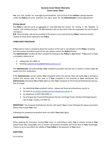**You** can only qualify for overnight accommodation and rail fares if the **Vehicle** is being repaired under the **Policy** and prior authority has been given by the **Administrator**'s claims department.

#### **Driving abroad**

The **Policy** is valid for up to an aggregate of sixty (60) days per annum for driving in the Republic of Ireland and mainland Europe. The Administrator will not pay more than the equivalent UK cost for parts and labour.

**N.B.** These benefits will not be provided if the failure is not covered by the **Policy**. Payments will be limited to those levels outlined in the **Policy**.

#### **COMPLAINTS PROCEDURE**

If **You** wish to make a complaint about the conduct of the sale or cancellation of this **Policy**, including any information provided as part of the sale, please contact the **Policy** Retailer. The **Administrator** handles all other complaints relating to this **Policy** on **Our** behalf. If **You** wish to make

a complaint, please do so:

- calling 0161 451 4804; or
- emailin[g customerservice@defendinsurance.co.uk](mailto:customerservice@defendinsurance.co.uk)

The **Administrator** will acknowledge **Your** complaint promptly and will aim to resolve it within eight (8) weeks from first notification.

If the **Administrator** cannot resolve **Your** complaint within this period, they will notify **You** in writing to confirm the reasons why. In this case, or if **Your** complaint is not resolved to **Your** satisfaction, the **Administrator** will advise **You** of **Your** rights to refer **Your** complaint to The Financial Ombudsman Service, free of charge:

- by submitting **Your** complaint online please see financial-ombudsman.org.uk; or
- by email at [complaint.info@financial-ombudsman.org.uk;](mailto:complaint.info@financial-ombudsman.org.uk) or
- by telephone on 0207 964 1000; or
- by writing to the Financial Ombudsman Service, Exchange Tower, Harbour Exchange Square, Isle of Dogs, London, E14 9SR UK.

**IMPORTANT**: The Financial Ombudsman Service will expect **You** to have followed the above procedure before they accept **Your** case.

Following this complaints procedure does not affect **Your** legal rights.

#### **MISINFORMATION**

When applying for insurance, varying **Your** cover, or submitting a claim, **You** or anyone acting on **Your** behalf must take reasonable care to answer all questions honestly and to the best of **Your** knowledge. Failure to do so may affect the validity of **Your Policy** or the payment of **Your** claim.

#### **SANCTIONS**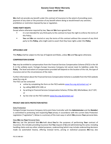**We** shall not provide any benefit under this contract of insurance to the extent of providing cover, payment of any claim or the provision of any benefit where doing so would breach any sanction, prohibition or restriction imposed by law or regulation.

### **THIRD PARTY RIGHTS**

Except where otherwise required by law, **You** and **We** have agreed that:

- it is not intended for any third party to this contract to have the right to enforce the terms of this Policy;
- **You** and **We** can rescind or vary the terms of this contract without the consent of any third party to this **Policy**, who might seek to assert that they have rights under this **Policy**.

### **APPLICABLE LAW**

This **Policy** shall be subject to the law of England and Wales, unless **We** and **You** agree otherwise.

#### **COMPENSATION SCHEME**

**You** may be entitled to compensation from the Financial Services Compensation Scheme (FSCS) in the UK if, in the unlikely event, Fortegra Europe Insurance Company Ltd cannot meet its liabilities under this **Policy**. The level and extent of compensation provided will depend on the location of the risk, the type of insurance and on the circumstances of the claim.

Further information about the Financial Services Compensation Scheme is available from the FSCS website www.fscs.org.uk.

The FSCS can be contacted:

- online by completing the form on the FSCS website [www.fscs.org.uk/contact-us/;](http://www.fscs.org.uk/contact-us/) or
- by calling 0800 678 1100; or
- by writing to Financial Services Compensation Scheme, PO Box 300, Mitcheldean, GL17 1DY; or
- by live chat via the FSCS website [www.fscs.org.uk/contact-us/.](http://www.fscs.org.uk/contact-us/)

### **PRIVACY AND DATA PROTECTION NOTICE**

#### Data Protection

Fortegra Europe Insurance Company Ltd (a joint Data Controller with the **Administrator** and the **Retailer**) is committed to protecting and respecting **Your** privacy in accordance with the current Data Protection Legislation ("Legislation"). Below is a summary of the main ways in which **We** process **Your** personal data.

#### How **We** Use **Your** Personal Data

**We** may use the personal data **We** hold about **You** for the purposes of performing **Your** contract of insurance, this includes providing insurance that **You** request of **Us** and administering the same; including handling claims and any other related purposes, underwriting (which may include underwriting decisions made via automated means), offering renewal terms, pricing or statistical purposes. **We** may also